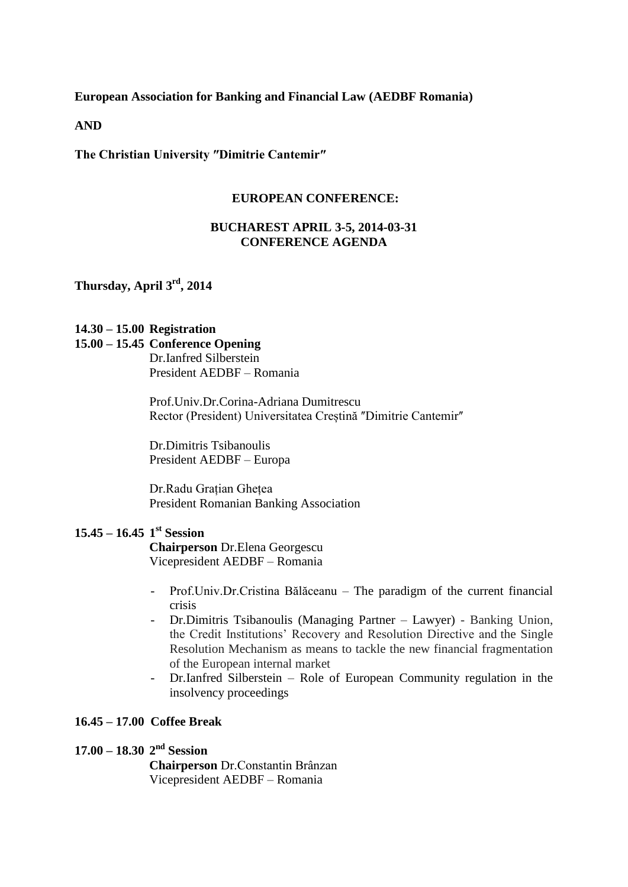**European Association for Banking and Financial Law (AEDBF Romania)**

**AND**

The Christian University "Dimitrie Cantemir"

#### **EUROPEAN CONFERENCE:**

## **BUCHAREST APRIL 3-5, 2014-03-31 CONFERENCE AGENDA**

**Thursday, April 3 rd , 2014**

### **14.30 – 15.00 Registration**

#### **15.00 – 15.45 Conference Opening**

Dr.Ianfred Silberstein President AEDBF – Romania

Prof.Univ.Dr.Corina-Adriana Dumitrescu Rector (President) Universitatea Creștină "Dimitrie Cantemir"

Dr.Dimitris Tsibanoulis President AEDBF – Europa

Dr.Radu Grațian Ghețea President Romanian Banking Association

# **15.45 – 16.45 1 st Session**

**Chairperson** Dr.Elena Georgescu Vicepresident AEDBF – Romania

- Prof.Univ.Dr.Cristina Bălăceanu The paradigm of the current financial crisis
- Dr.Dimitris Tsibanoulis (Managing Partner Lawyer) Banking Union, the Credit Institutions' Recovery and Resolution Directive and the Single Resolution Mechanism as means to tackle the new financial fragmentation of the European internal market
- Dr.Ianfred Silberstein Role of European Community regulation in the insolvency proceedings

### **16.45 – 17.00 Coffee Break**

# **17.00 – 18.30 2<sup>nd</sup> Session**

**Chairperson** Dr.Constantin Brânzan Vicepresident AEDBF – Romania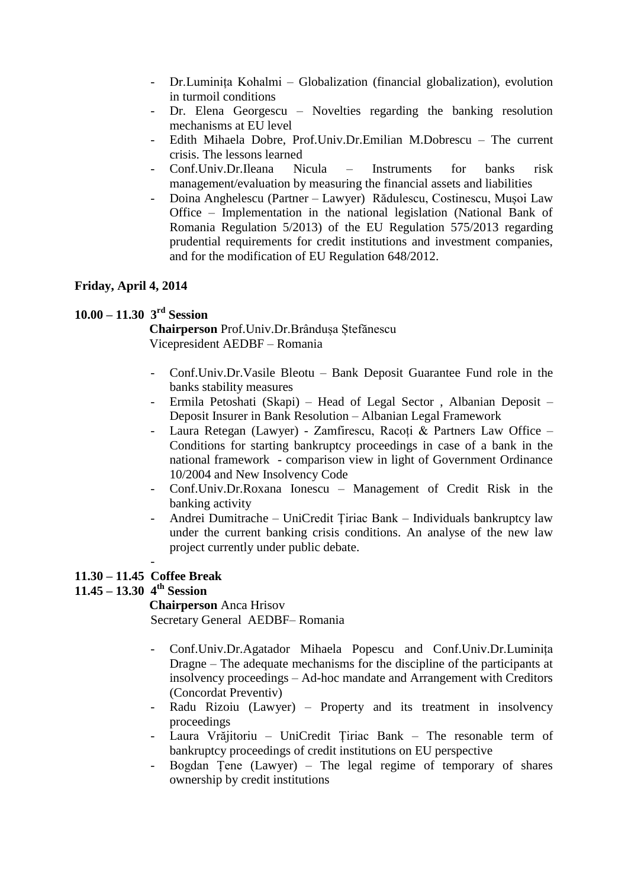- Dr.Luminița Kohalmi Globalization (financial globalization), evolution in turmoil conditions
- Dr. Elena Georgescu Novelties regarding the banking resolution mechanisms at EU level
- Edith Mihaela Dobre, Prof.Univ.Dr.Emilian M.Dobrescu The current crisis. The lessons learned
- Conf.Univ.Dr.Ileana Nicula Instruments for banks risk management/evaluation by measuring the financial assets and liabilities
- Doina Anghelescu (Partner Lawyer) Rădulescu, Costinescu, Mușoi Law Office – Implementation in the national legislation (National Bank of Romania Regulation 5/2013) of the EU Regulation 575/2013 regarding prudential requirements for credit institutions and investment companies, and for the modification of EU Regulation 648/2012.

## **Friday, April 4, 2014**

# **10.00 – 11.30 3 rd Session**

**Chairperson** Prof.Univ.Dr.Brândușa Ștefănescu Vicepresident AEDBF – Romania

- Conf.Univ.Dr.Vasile Bleotu Bank Deposit Guarantee Fund role in the banks stability measures
- Ermila Petoshati (Skapi) Head of Legal Sector , Albanian Deposit Deposit Insurer in Bank Resolution – Albanian Legal Framework
- Laura Retegan (Lawyer) Zamfirescu, Racoți & Partners Law Office Conditions for starting bankruptcy proceedings in case of a bank in the national framework - comparison view in light of Government Ordinance 10/2004 and New Insolvency Code
- Conf.Univ.Dr.Roxana Ionescu Management of Credit Risk in the banking activity
- Andrei Dumitrache UniCredit Țiriac Bank Individuals bankruptcy law under the current banking crisis conditions. An analyse of the new law project currently under public debate.

#### - **11.30 – 11.45 Coffee Break**

# **11.45 – 13.30 4 th Session**

**Chairperson** Anca Hrisov Secretary General AEDBF– Romania

- Conf.Univ.Dr.Agatador Mihaela Popescu and Conf.Univ.Dr.Luminița Dragne – The adequate mechanisms for the discipline of the participants at insolvency proceedings – Ad-hoc mandate and Arrangement with Creditors (Concordat Preventiv)
- Radu Rizoiu (Lawyer) Property and its treatment in insolvency proceedings
- Laura Vrăjitoriu UniCredit Țiriac Bank The resonable term of bankruptcy proceedings of credit institutions on EU perspective
- Bogdan Țene (Lawyer) The legal regime of temporary of shares ownership by credit institutions